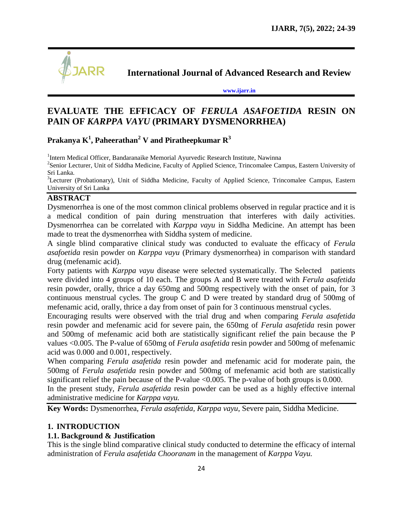

**International Journal of Advanced Research and Review**

**[www.ijarr.in](http://www.ijarr.in/)**

# **EVALUATE THE EFFICACY OF** *FERULA ASAFOETIDA* **RESIN ON PAIN OF** *KARPPA VAYU* **(PRIMARY DYSMENORRHEA)**

**Prakanya K<sup>1</sup> , Paheerathan<sup>2</sup> V and Piratheepkumar R<sup>3</sup>**

<sup>1</sup>Intern Medical Officer, Bandaranaike Memorial Ayurvedic Research Institute, Nawinna

<sup>2</sup>Senior Lecturer, Unit of Siddha Medicine, Faculty of Applied Science, Trincomalee Campus, Eastern University of Sri Lanka.

<sup>3</sup>Lecturer (Probationary), Unit of Siddha Medicine, Faculty of Applied Science, Trincomalee Campus, Eastern University of Sri Lanka

### **ABSTRACT**

Dysmenorrhea is one of the most common clinical problems observed in regular practice and it is a medical condition of pain during menstruation that interferes with daily activities. Dysmenorrhea can be correlated with *Karppa vayu* in Siddha Medicine. An attempt has been made to treat the dysmenorrhea with Siddha system of medicine.

A single blind comparative clinical study was conducted to evaluate the efficacy of *Ferula asafoetida* resin powder on *Karppa vayu* (Primary dysmenorrhea) in comparison with standard drug (mefenamic acid).

Forty patients with *Karppa vayu* disease were selected systematically. The Selected patients were divided into 4 groups of 10 each. The groups A and B were treated with *Ferula asafetida* resin powder, orally, thrice a day 650mg and 500mg respectively with the onset of pain, for 3 continuous menstrual cycles. The group C and D were treated by standard drug of 500mg of mefenamic acid, orally, thrice a day from onset of pain for 3 continuous menstrual cycles.

Encouraging results were observed with the trial drug and when comparing *Ferula asafetida* resin powder and mefenamic acid for severe pain, the 650mg of *Ferula asafetida* resin power and 500mg of mefenamic acid both are statistically significant relief the pain because the P values <0.005. The P-value of 650mg of *Ferula asafetida* resin powder and 500mg of mefenamic acid was 0.000 and 0.001, respectively.

When comparing *Ferula asafetida* resin powder and mefenamic acid for moderate pain, the 500mg of *Ferula asafetida* resin powder and 500mg of mefenamic acid both are statistically significant relief the pain because of the P-value <0.005. The p-value of both groups is 0.000.

In the present study, *Ferula asafetida* resin powder can be used as a highly effective internal administrative medicine for *Karppa vayu.*

**Key Words:** Dysmenorrhea, *Ferula asafetida, Karppa vayu*, Severe pain, Siddha Medicine.

## **1. INTRODUCTION**

## **1.1. Background & Justification**

This is the single blind comparative clinical study conducted to determine the efficacy of internal administration of *Ferula asafetida Chooranam* in the management of *Karppa Vayu.*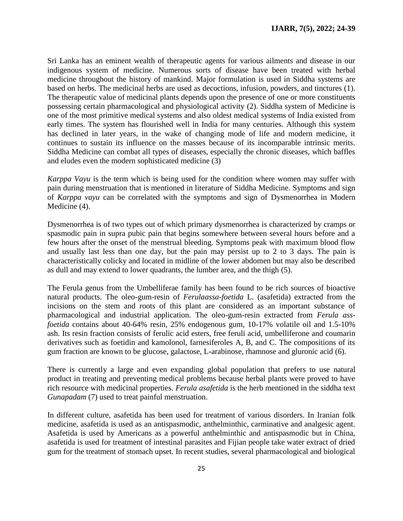Sri Lanka has an eminent wealth of therapeutic agents for various ailments and disease in our indigenous system of medicine. Numerous sorts of disease have been treated with herbal medicine throughout the history of mankind. Major formulation is used in Siddha systems are based on herbs. The medicinal herbs are used as decoctions, infusion, powders, and tinctures (1). The therapeutic value of medicinal plants depends upon the presence of one or more constituents possessing certain pharmacological and physiological activity (2). Siddha system of Medicine is one of the most primitive medical systems and also oldest medical systems of India existed from early times. The system has flourished well in India for many centuries. Although this system has declined in later years, in the wake of changing mode of life and modern medicine, it continues to sustain its influence on the masses because of its incomparable intrinsic merits. Siddha Medicine can combat all types of diseases, especially the chronic diseases, which baffles and eludes even the modern sophisticated medicine (3)

*Karppa Vayu* is the term which is being used for the condition where women may suffer with pain during menstruation that is mentioned in literature of Siddha Medicine. Symptoms and sign of *Karppa vayu* can be correlated with the symptoms and sign of Dysmenorrhea in Modern Medicine (4).

Dysmenorrhea is of two types out of which primary dysmenorrhea is characterized by cramps or spasmodic pain in supra pubic pain that begins somewhere between several hours before and a few hours after the onset of the menstrual bleeding. Symptoms peak with maximum blood flow and usually last less than one day, but the pain may persist up to 2 to 3 days. The pain is characteristically colicky and located in midline of the lower abdomen but may also be described as dull and may extend to lower quadrants, the lumber area, and the thigh (5).

The Ferula genus from the Umbelliferae family has been found to be rich sources of bioactive natural products. The oleo-gum-resin of *Ferulaassa-foetida* L. (asafetida) extracted from the incisions on the stem and roots of this plant are considered as an important substance of pharmacological and industrial application. The oleo-gum-resin extracted from *Ferula assfoetida* contains about 40-64% resin, 25% endogenous gum, 10-17% volatile oil and 1.5-10% ash. Its resin fraction consists of ferulic acid esters, free feruli acid, umbelliferone and coumarin derivatives such as foetidin and kamolonol, farnesiferoles A, B, and C. The compositions of its gum fraction are known to be glucose, galactose, L-arabinose, rhamnose and gluronic acid (6).

There is currently a large and even expanding global population that prefers to use natural product in treating and preventing medical problems because herbal plants were proved to have rich resource with medicinal properties. *Ferula asafetida* is the herb mentioned in the siddha text *Gunapadam* (7) used to treat painful menstruation.

In different culture, asafetida has been used for treatment of various disorders. In Iranian folk medicine, asafetida is used as an antispasmodic, anthelminthic, carminative and analgesic agent. Asafetida is used by Americans as a powerful anthelminthic and antispasmodic but in China, asafetida is used for treatment of intestinal parasites and Fijian people take water extract of dried gum for the treatment of stomach upset. In recent studies, several pharmacological and biological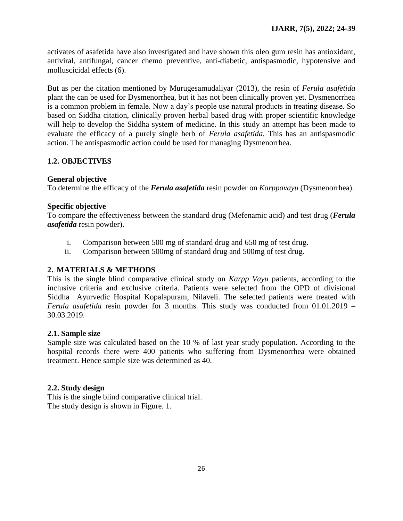activates of asafetida have also investigated and have shown this oleo gum resin has antioxidant, antiviral, antifungal, cancer chemo preventive, anti-diabetic, antispasmodic, hypotensive and molluscicidal effects (6).

But as per the citation mentioned by Murugesamudaliyar (2013), the resin of *Ferula asafetida*  plant the can be used for Dysmenorrhea, but it has not been clinically proven yet. Dysmenorrhea is a common problem in female. Now a day's people use natural products in treating disease. So based on Siddha citation, clinically proven herbal based drug with proper scientific knowledge will help to develop the Siddha system of medicine. In this study an attempt has been made to evaluate the efficacy of a purely single herb of *Ferula asafetida.* This has an antispasmodic action. The antispasmodic action could be used for managing Dysmenorrhea.

## **1.2. OBJECTIVES**

### **General objective**

To determine the efficacy of the *Ferula asafetida* resin powder on *Karppavayu* (Dysmenorrhea).

### **Specific objective**

To compare the effectiveness between the standard drug (Mefenamic acid) and test drug (*Ferula asafetida* resin powder).

- i. Comparison between 500 mg of standard drug and 650 mg of test drug.
- ii. Comparison between 500mg of standard drug and 500mg of test drug.

### **2. MATERIALS & METHODS**

This is the single blind comparative clinical study on *Karpp Vayu* patients, according to the inclusive criteria and exclusive criteria. Patients were selected from the OPD of divisional Siddha Ayurvedic Hospital Kopalapuram, Nilaveli. The selected patients were treated with *Ferula asafetida* resin powder for 3 months. This study was conducted from 01.01.2019 – 30.03.2019.

#### **2.1. Sample size**

Sample size was calculated based on the 10 % of last year study population. According to the hospital records there were 400 patients who suffering from Dysmenorrhea were obtained treatment. Hence sample size was determined as 40.

### **2.2. Study design**

This is the single blind comparative clinical trial. The study design is shown in Figure. [1.](https://trialsjournal.biomedcentral.com/articles/10.1186/s13063-020-4060-6#Fig1)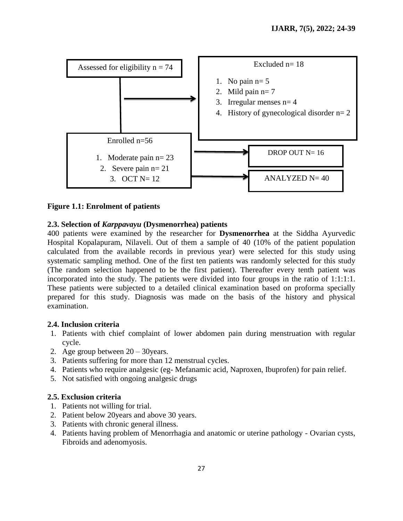

## **Figure 1.1: Enrolment of patients**

### **2.3. Selection of** *Karppavayu* **(Dysmenorrhea) patients**

400 patients were examined by the researcher for **Dysmenorrhea** at the Siddha Ayurvedic Hospital Kopalapuram, Nilaveli. Out of them a sample of 40 (10% of the patient population calculated from the available records in previous year) were selected for this study using systematic sampling method. One of the first ten patients was randomly selected for this study (The random selection happened to be the first patient). Thereafter every tenth patient was incorporated into the study. The patients were divided into four groups in the ratio of 1:1:1:1. These patients were subjected to a detailed clinical examination based on proforma specially prepared for this study. Diagnosis was made on the basis of the history and physical examination.

### **2.4. Inclusion criteria**

- 1. Patients with chief complaint of lower abdomen pain during menstruation with regular cycle.
- 2. Age group between  $20 30$ years.
- 3. Patients suffering for more than 12 menstrual cycles.
- 4. Patients who require analgesic (eg- Mefanamic acid, Naproxen, Ibuprofen) for pain relief.
- 5. Not satisfied with ongoing analgesic drugs

### **2.5. Exclusion criteria**

- 1. Patients not willing for trial.
- 2. Patient below 20years and above 30 years.
- 3. Patients with chronic general illness.
- 4. Patients having problem of Menorrhagia and anatomic or uterine pathology Ovarian cysts, Fibroids and adenomyosis.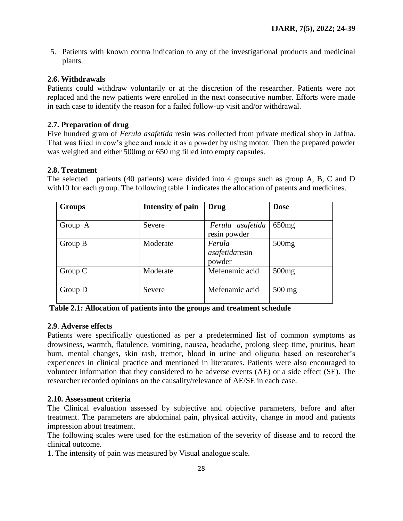5. Patients with known contra indication to any of the investigational products and medicinal plants.

### **2.6. Withdrawals**

Patients could withdraw voluntarily or at the discretion of the researcher. Patients were not replaced and the new patients were enrolled in the next consecutive number. Efforts were made in each case to identify the reason for a failed follow-up visit and/or withdrawal.

### **2.7. Preparation of drug**

Five hundred gram of *Ferula asafetida* resin was collected from private medical shop in Jaffna. That was fried in cow's ghee and made it as a powder by using motor. Then the prepared powder was weighed and either 500mg or 650 mg filled into empty capsules.

### **2.8. Treatment**

The selected patients (40 patients) were divided into 4 groups such as group A, B, C and D with 10 for each group. The following table 1 indicates the allocation of patents and medicines.

| <b>Groups</b> | Intensity of pain | Drug                               | <b>Dose</b> |  |
|---------------|-------------------|------------------------------------|-------------|--|
|               |                   |                                    |             |  |
| Group A       | Severe            | Ferula asafetida<br>resin powder   | 650mg       |  |
| Group B       | Moderate          | Ferula<br>asafetidaresin<br>powder | 500mg       |  |
| Group C       | Moderate          | Mefenamic acid                     | 500mg       |  |
| Group D       | Severe            | Mefenamic acid                     | 500 mg      |  |

**Table 2.1: Allocation of patients into the groups and treatment schedule**

### **2.9**. **Adverse effects**

Patients were specifically questioned as per a predetermined list of common symptoms as drowsiness, warmth, flatulence, vomiting, nausea, headache, prolong sleep time, pruritus, heart burn, mental changes, skin rash, tremor, blood in urine and oliguria based on researcher's experiences in clinical practice and mentioned in literatures. Patients were also encouraged to volunteer information that they considered to be adverse events (AE) or a side effect (SE). The researcher recorded opinions on the causality/relevance of AE/SE in each case.

#### **2.10. Assessment criteria**

The Clinical evaluation assessed by subjective and objective parameters, before and after treatment. The parameters are abdominal pain, physical activity, change in mood and patients impression about treatment.

The following scales were used for the estimation of the severity of disease and to record the clinical outcome.

1. The intensity of pain was measured by Visual analogue scale.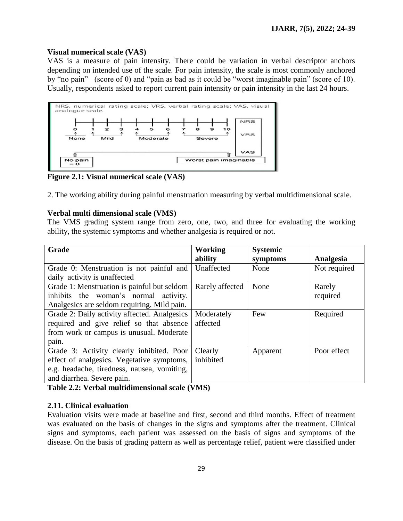#### **Visual numerical scale (VAS)**

VAS is a measure of pain intensity. There could be variation in verbal descriptor anchors depending on intended use of the scale. For pain intensity, the scale is most commonly anchored by "no pain" (score of 0) and "pain as bad as it could be "worst imaginable pain" (score of 10). Usually, respondents asked to report current pain intensity or pain intensity in the last 24 hours.



**Figure 2.1: Visual numerical scale (VAS)** 

2. The working ability during painful menstruation measuring by verbal multidimensional scale.

### **Verbal multi dimensional scale (VMS)**

The VMS grading system range from zero, one, two, and three for evaluating the working ability, the systemic symptoms and whether analgesia is required or not.

| Grade                                        | Working         | <b>Systemic</b> |              |
|----------------------------------------------|-----------------|-----------------|--------------|
|                                              | ability         | symptoms        | Analgesia    |
| Grade 0: Menstruation is not painful and     | Unaffected      | None            | Not required |
| daily activity is unaffected                 |                 |                 |              |
| Grade 1: Menstruation is painful but seldom  | Rarely affected | None            | Rarely       |
| inhibits the woman's normal activity.        |                 |                 | required     |
| Analgesics are seldom requiring. Mild pain.  |                 |                 |              |
| Grade 2: Daily activity affected. Analgesics | Moderately      | Few             | Required     |
| required and give relief so that absence     | affected        |                 |              |
| from work or campus is unusual. Moderate     |                 |                 |              |
| pain.                                        |                 |                 |              |
| Grade 3: Activity clearly inhibited. Poor    | Clearly         | Apparent        | Poor effect  |
| effect of analgesics. Vegetative symptoms,   | inhibited       |                 |              |
| e.g. headache, tiredness, nausea, vomiting,  |                 |                 |              |
| and diarrhea. Severe pain.                   |                 |                 |              |

**Table 2.2: Verbal multidimensional scale (VMS)**

### **2.11. Clinical evaluation**

Evaluation visits were made at baseline and first, second and third months. Effect of treatment was evaluated on the basis of changes in the signs and symptoms after the treatment. Clinical signs and symptoms, each patient was assessed on the basis of signs and symptoms of the disease. On the basis of grading pattern as well as percentage relief, patient were classified under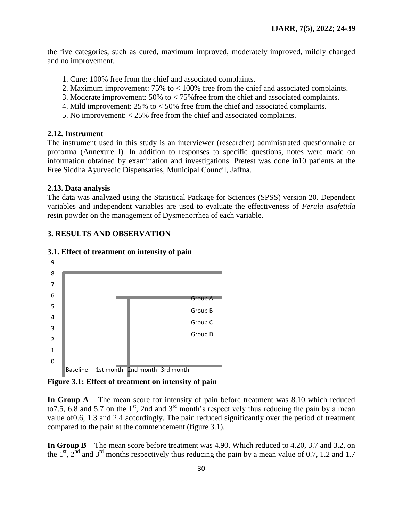the five categories, such as cured, maximum improved, moderately improved, mildly changed and no improvement.

- 1. Cure: 100% free from the chief and associated complaints.
- 2. Maximum improvement: 75% to < 100% free from the chief and associated complaints.
- 3. Moderate improvement: 50% to < 75%free from the chief and associated complaints.
- 4. Mild improvement: 25% to < 50% free from the chief and associated complaints.
- 5. No improvement: < 25% free from the chief and associated complaints.

#### **2.12. Instrument**

The instrument used in this study is an interviewer (researcher) administrated questionnaire or proforma (Annexure I). In addition to responses to specific questions, notes were made on information obtained by examination and investigations. Pretest was done in10 patients at the Free Siddha Ayurvedic Dispensaries, Municipal Council, Jaffna.

#### **2.13. Data analysis**

The data was analyzed using the Statistical Package for Sciences (SPSS) version 20. Dependent variables and independent variables are used to evaluate the effectiveness of *Ferula asafetida* resin powder on the management of Dysmenorrhea of each variable.

#### **3. RESULTS AND OBSERVATION**





**Figure 3.1: Effect of treatment on intensity of pain**

**In Group A** – The mean score for intensity of pain before treatment was 8.10 which reduced to7.5, 6.8 and 5.7 on the 1<sup>st</sup>, 2nd and 3<sup>rd</sup> month's respectively thus reducing the pain by a mean value of0.6, 1.3 and 2.4 accordingly. The pain reduced significantly over the period of treatment compared to the pain at the commencement (figure 3.1).

**In Group B** – The mean score before treatment was 4.90. Which reduced to 4.20, 3.7 and 3.2, on the  $1<sup>st</sup>$ ,  $2<sup>nd</sup>$  and  $3<sup>rd</sup>$  months respectively thus reducing the pain by a mean value of 0.7, 1.2 and 1.7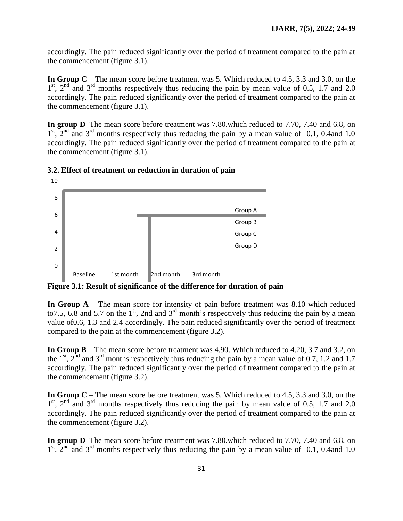accordingly. The pain reduced significantly over the period of treatment compared to the pain at the commencement (figure 3.1).

**In Group C** – The mean score before treatment was 5. Which reduced to 4.5, 3.3 and 3.0, on the  $1<sup>st</sup>$ ,  $2<sup>nd</sup>$  and  $3<sup>rd</sup>$  months respectively thus reducing the pain by mean value of 0.5, 1.7 and 2.0 accordingly. The pain reduced significantly over the period of treatment compared to the pain at the commencement (figure 3.1).

**In group D–**The mean score before treatment was 7.80.which reduced to 7.70, 7.40 and 6.8, on  $1<sup>st</sup>$ ,  $2<sup>nd</sup>$  and  $3<sup>rd</sup>$  months respectively thus reducing the pain by a mean value of 0.1, 0.4and 1.0 accordingly. The pain reduced significantly over the period of treatment compared to the pain at the commencement (figure 3.1).





**Figure 3.1: Result of significance of the difference for duration of pain**

**In Group A** – The mean score for intensity of pain before treatment was 8.10 which reduced to7.5, 6.8 and 5.7 on the 1<sup>st</sup>, 2nd and 3<sup>rd</sup> month's respectively thus reducing the pain by a mean value of0.6, 1.3 and 2.4 accordingly. The pain reduced significantly over the period of treatment compared to the pain at the commencement (figure 3.2).

**In Group B** – The mean score before treatment was 4.90. Which reduced to 4.20, 3.7 and 3.2, on the  $1^{st}$ ,  $2^{\text{nd}}$  and  $3^{\text{rd}}$  months respectively thus reducing the pain by a mean value of 0.7, 1.2 and 1.7 accordingly. The pain reduced significantly over the period of treatment compared to the pain at the commencement (figure 3.2).

**In Group C** – The mean score before treatment was 5. Which reduced to 4.5, 3.3 and 3.0, on the  $1<sup>st</sup>$ ,  $2<sup>nd</sup>$  and  $3<sup>rd</sup>$  months respectively thus reducing the pain by mean value of 0.5, 1.7 and 2.0 accordingly. The pain reduced significantly over the period of treatment compared to the pain at the commencement (figure 3.2).

**In group D–**The mean score before treatment was 7.80.which reduced to 7.70, 7.40 and 6.8, on  $1<sup>st</sup>$ ,  $2<sup>nd</sup>$  and  $3<sup>rd</sup>$  months respectively thus reducing the pain by a mean value of 0.1, 0.4and 1.0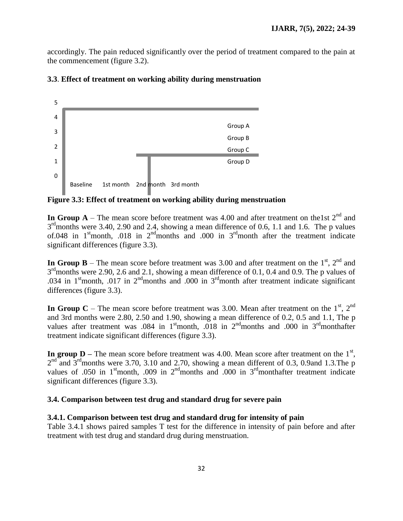accordingly. The pain reduced significantly over the period of treatment compared to the pain at the commencement (figure 3.2).



### **3.3**. **Effect of treatment on working ability during menstruation**

**Figure 3.3: Effect of treatment on working ability during menstruation**

**In Group A** – The mean score before treatment was 4.00 and after treatment on the1st  $2^{nd}$  and  $3<sup>rd</sup>$ months were 3.40, 2.90 and 2.4, showing a mean difference of 0.6, 1.1 and 1.6. The p values of.048 in  $1^{\text{st}}$  month, .018 in  $2^{\text{nd}}$  months and .000 in  $3^{\text{rd}}$  month after the treatment indicate significant differences (figure 3.3).

**In Group B** – The mean score before treatment was 3.00 and after treatment on the  $1<sup>st</sup>$ ,  $2<sup>nd</sup>$  and 3<sup>rd</sup>months were 2.90, 2.6 and 2.1, showing a mean difference of 0.1, 0.4 and 0.9. The p values of .034 in 1<sup>st</sup>month, .017 in 2<sup>nd</sup> months and .000 in 3<sup>rd</sup> month after treatment indicate significant differences (figure 3.3).

**In Group C** – The mean score before treatment was 3.00. Mean after treatment on the  $1<sup>st</sup>$ ,  $2<sup>nd</sup>$ and 3rd months were 2.80, 2.50 and 1.90, showing a mean difference of 0.2, 0.5 and 1.1, The p values after treatment was .084 in 1<sup>st</sup>month, .018 in 2<sup>nd</sup>months and .000 in 3<sup>rd</sup>monthafter treatment indicate significant differences (figure 3.3).

**In group**  $D$  – The mean score before treatment was 4.00. Mean score after treatment on the  $1<sup>st</sup>$ ,  $2<sup>nd</sup>$  and  $3<sup>rd</sup>$  months were 3.70, 3.10 and 2.70, showing a mean different of 0.3, 0.9and 1.3.The p values of .050 in 1<sup>st</sup>month, .009 in 2<sup>nd</sup>months and .000 in 3<sup>rd</sup>monthafter treatment indicate significant differences (figure 3.3).

### **3.4. Comparison between test drug and standard drug for severe pain**

#### **3.4.1. Comparison between test drug and standard drug for intensity of pain**

Table 3.4.1 shows paired samples T test for the difference in intensity of pain before and after treatment with test drug and standard drug during menstruation.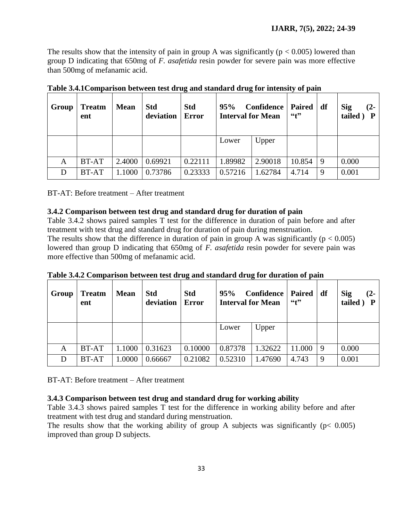The results show that the intensity of pain in group A was significantly ( $p < 0.005$ ) lowered than group D indicating that 650mg of *F. asafetida* resin powder for severe pain was more effective than 500mg of mefanamic acid.

| Group | <b>Treatm</b><br>ent | <b>Mean</b> | <b>Std</b><br>deviation | <b>Std</b><br><b>Error</b> | 95%<br><b>Confidence</b><br><b>Interval for Mean</b> |         | Paired<br>54 | df | <b>Sig</b><br>$(2 -$<br>tailed ) P |
|-------|----------------------|-------------|-------------------------|----------------------------|------------------------------------------------------|---------|--------------|----|------------------------------------|
|       |                      |             |                         |                            | Lower                                                | Upper   |              |    |                                    |
| A     | <b>BT-AT</b>         | 2.4000      | 0.69921                 | 0.22111                    | 1.89982                                              | 2.90018 | 10.854       | -9 | 0.000                              |
| D     | BT-AT                | 1.1000      | 0.73786                 | 0.23333                    | 0.57216                                              | 1.62784 | 4.714        | 9  | 0.001                              |

**Table 3.4.1Comparison between test drug and standard drug for intensity of pain** 

BT-AT: Before treatment – After treatment

### **3.4.2 Comparison between test drug and standard drug for duration of pain**

Table 3.4.2 shows paired samples T test for the difference in duration of pain before and after treatment with test drug and standard drug for duration of pain during menstruation.

The results show that the difference in duration of pain in group A was significantly ( $p < 0.005$ ) lowered than group D indicating that 650mg of *F. asafetida* resin powder for severe pain was more effective than 500mg of mefanamic acid.

| Table offizi Comparison between test and gand standard unug for uuration of pain |                      |             |                         |                            |         |                                                      |               |   |                                    |  |  |
|----------------------------------------------------------------------------------|----------------------|-------------|-------------------------|----------------------------|---------|------------------------------------------------------|---------------|---|------------------------------------|--|--|
| Group                                                                            | <b>Treatm</b><br>ent | <b>Mean</b> | <b>Std</b><br>deviation | <b>Std</b><br><b>Error</b> | 95%     | Confidence   Paired   df<br><b>Interval for Mean</b> | $^{66}t^{99}$ |   | <b>Sig</b><br>$(2 -$<br>tailed ) P |  |  |
|                                                                                  |                      |             |                         |                            | Lower   | Upper                                                |               |   |                                    |  |  |
| A                                                                                | BT-AT                | .1000       | 0.31623                 | 0.10000                    | 0.87378 | 1.32622                                              | 11.000        | 9 | 0.000                              |  |  |

D | BT-AT | 1.0000 | 0.66667 | 0.21082 | 0.52310 | 1.47690 | 4.743 | 9 | 0.001

**Table 3.4.2 Comparison between test drug and standard drug for duration of pain** 

BT-AT: Before treatment – After treatment

## **3.4.3 Comparison between test drug and standard drug for working ability**

Table 3.4.3 shows paired samples T test for the difference in working ability before and after treatment with test drug and standard during menstruation.

The results show that the working ability of group A subjects was significantly  $(p< 0.005)$ improved than group D subjects.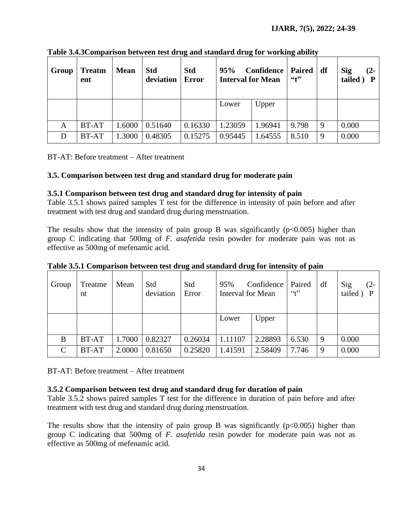| Group | <b>Treatm</b><br>ent | <b>Mean</b> | <b>Std</b><br>deviation | <b>Std</b><br><b>Error</b> | 95%<br><b>Interval for Mean</b> | Confidence | <b>Paired</b><br>55 | df | <b>Sig</b><br>$(2 -$<br>tailed)<br>$\mathbf P$ |
|-------|----------------------|-------------|-------------------------|----------------------------|---------------------------------|------------|---------------------|----|------------------------------------------------|
|       |                      |             |                         |                            | Lower                           | Upper      |                     |    |                                                |
| A     | BT-AT                | 1.6000      | 0.51640                 | 0.16330                    | 1.23059                         | 1.96941    | 9.798               | 9  | 0.000                                          |
| D     | <b>BT-AT</b>         | .3000       | 0.48305                 | 0.15275                    | 0.95445                         | 1.64555    | 8.510               | 9  | 0.000                                          |

**Table 3.4.3Comparison between test drug and standard drug for working ability**

BT-AT: Before treatment – After treatment

### **3.5. Comparison between test drug and standard drug for moderate pain**

### **3.5.1 Comparison between test drug and standard drug for intensity of pain**

Table 3.5.1 shows paired samples T test for the difference in intensity of pain before and after treatment with test drug and standard drug during menstruation.

The results show that the intensity of pain group B was significantly  $(p<0.005)$  higher than group C indicating that 500mg of *F. asafetida* resin powder for moderate pain was not as effective as 500mg of mefenamic acid.

| Group         | Treatme<br>nt | Mean   | Std<br>deviation | Std<br>Error | 95%<br><b>Interval for Mean</b> | Confidence | Paired<br>$\mathfrak{c}$ $t$ <sup>2</sup> | df | Sig<br>$(2 -$<br>tailed ) P |
|---------------|---------------|--------|------------------|--------------|---------------------------------|------------|-------------------------------------------|----|-----------------------------|
|               |               |        |                  |              | Lower                           | Upper      |                                           |    |                             |
| B             | BT-AT         | 1.7000 | 0.82327          | 0.26034      | 1.11107                         | 2.28893    | 6.530                                     | 9  | 0.000                       |
| $\mathcal{C}$ | BT-AT         | 2.0000 | 0.81650          | 0.25820      | 1.41591                         | 2.58409    | 7.746                                     | 9  | 0.000                       |

**Table 3.5.1 Comparison between test drug and standard drug for intensity of pain** 

BT-AT: Before treatment – After treatment

### **3.5.2 Comparison between test drug and standard drug for duration of pain**

Table 3.5.2 shows paired samples T test for the difference in duration of pain before and after treatment with test drug and standard drug during menstruation.

The results show that the intensity of pain group B was significantly  $(p<0.005)$  higher than group C indicating that 500mg of *F. asafetida* resin powder for moderate pain was not as effective as 500mg of mefenamic acid.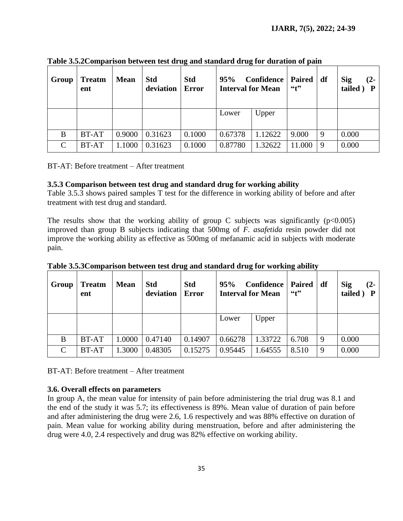| Group         | <b>Treatm</b><br>ent | <b>Mean</b> | <b>Std</b><br>deviation | <b>Std</b><br><b>Error</b> | 95%<br><b>Interval for Mean</b> | Confidence | <b>Paired</b><br>55 | df | <b>Sig</b><br>$(2-$<br>tailed)<br>${\bf P}$ |
|---------------|----------------------|-------------|-------------------------|----------------------------|---------------------------------|------------|---------------------|----|---------------------------------------------|
|               |                      |             |                         |                            | Lower                           | Upper      |                     |    |                                             |
| B             | BT-AT                | 0.9000      | 0.31623                 | 0.1000                     | 0.67378                         | 1.12622    | 9.000               | 9  | 0.000                                       |
| $\mathcal{C}$ | BT-AT                | 1.1000      | 0.31623                 | 0.1000                     | 0.87780                         | 1.32622    | 11.000              | 9  | 0.000                                       |

**Table 3.5.2Comparison between test drug and standard drug for duration of pain**

BT-AT: Before treatment – After treatment

### **3.5.3 Comparison between test drug and standard drug for working ability**

Table 3.5.3 shows paired samples T test for the difference in working ability of before and after treatment with test drug and standard.

The results show that the working ability of group C subjects was significantly  $(p<0.005)$ improved than group B subjects indicating that 500mg of *F. asafetida* resin powder did not improve the working ability as effective as 500mg of mefanamic acid in subjects with moderate pain.

| Group         | <b>Treatm</b><br>ent | <b>Mean</b> | <b>Std</b><br>deviation | <b>Std</b><br><b>Error</b> | 95%<br><b>Interval for Mean</b> | Confidence | <b>Paired</b><br>55 | df | <b>Sig</b><br>$(2 -$<br>tailed)<br>P. |
|---------------|----------------------|-------------|-------------------------|----------------------------|---------------------------------|------------|---------------------|----|---------------------------------------|
|               |                      |             |                         |                            | Lower                           | Upper      |                     |    |                                       |
| B             | BT-AT                | 1.0000      | 0.47140                 | 0.14907                    | 0.66278                         | 1.33722    | 6.708               | 9  | 0.000                                 |
| $\mathcal{C}$ | BT-AT                | 1.3000      | 0.48305                 | 0.15275                    | 0.95445                         | 1.64555    | 8.510               | 9  | 0.000                                 |

**Table 3.5.3Comparison between test drug and standard drug for working ability**

BT-AT: Before treatment – After treatment

#### **3.6. Overall effects on parameters**

In group A, the mean value for intensity of pain before administering the trial drug was 8.1 and the end of the study it was 5.7; its effectiveness is 89%. Mean value of duration of pain before and after administering the drug were 2.6, 1.6 respectively and was 88% effective on duration of pain. Mean value for working ability during menstruation, before and after administering the drug were 4.0, 2.4 respectively and drug was 82% effective on working ability.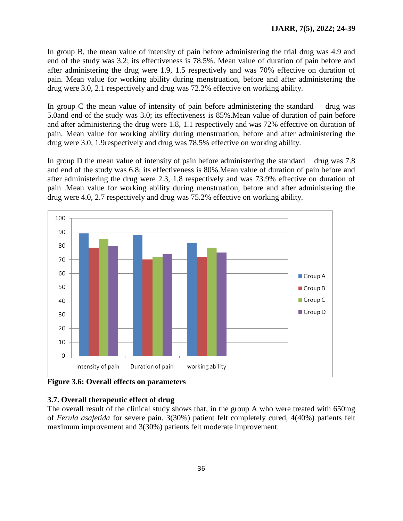In group B, the mean value of intensity of pain before administering the trial drug was 4.9 and end of the study was 3.2; its effectiveness is 78.5%. Mean value of duration of pain before and after administering the drug were 1.9, 1.5 respectively and was 70% effective on duration of pain. Mean value for working ability during menstruation, before and after administering the drug were 3.0, 2.1 respectively and drug was 72.2% effective on working ability.

In group C the mean value of intensity of pain before administering the standard drug was 5.0and end of the study was 3.0; its effectiveness is 85%.Mean value of duration of pain before and after administering the drug were 1.8, 1.1 respectively and was 72% effective on duration of pain. Mean value for working ability during menstruation, before and after administering the drug were 3.0, 1.9respectively and drug was 78.5% effective on working ability.

In group D the mean value of intensity of pain before administering the standard drug was 7.8 and end of the study was 6.8; its effectiveness is 80%.Mean value of duration of pain before and after administering the drug were 2.3, 1.8 respectively and was 73.9% effective on duration of pain .Mean value for working ability during menstruation, before and after administering the drug were 4.0, 2.7 respectively and drug was 75.2% effective on working ability.



**Figure 3.6: Overall effects on parameters**

### **3.7. Overall therapeutic effect of drug**

The overall result of the clinical study shows that, in the group A who were treated with 650mg of *Ferula asafetida* for severe pain. 3(30%) patient felt completely cured, 4(40%) patients felt maximum improvement and 3(30%) patients felt moderate improvement.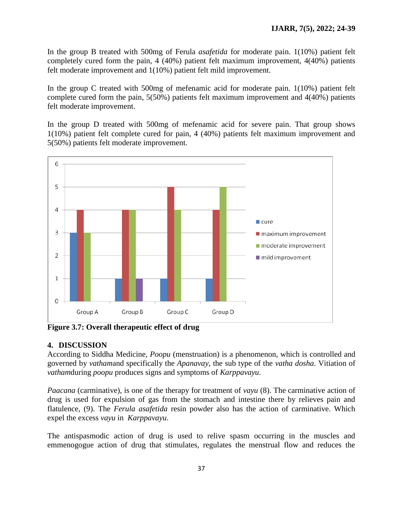In the group B treated with 500mg of Ferula *asafetida* for moderate pain. 1(10%) patient felt completely cured form the pain, 4 (40%) patient felt maximum improvement, 4(40%) patients felt moderate improvement and 1(10%) patient felt mild improvement.

In the group C treated with 500mg of mefenamic acid for moderate pain. 1(10%) patient felt complete cured form the pain, 5(50%) patients felt maximum improvement and 4(40%) patients felt moderate improvement.

In the group D treated with 500mg of mefenamic acid for severe pain. That group shows 1(10%) patient felt complete cured for pain, 4 (40%) patients felt maximum improvement and 5(50%) patients felt moderate improvement.



**Figure 3.7: Overall therapeutic effect of drug**

### **4. DISCUSSION**

According to Siddha Medicine, *Poopu* (menstruation) is a phenomenon, which is controlled and governed by *vatham*and specifically the *Apanavay*, the sub type of the *vatha dosha*. Vitiation of *vatham*during *poopu* produces signs and symptoms of *Karppavayu*.

*Paacana* (carminative), is one of the therapy for treatment of *vayu* (8). The carminative action of drug is used for expulsion of gas from the stomach and intestine there by relieves pain and flatulence, (9). The *Ferula asafetida* resin powder also has the action of carminative. Which expel the excess *vayu* in *Karppavayu*.

The antispasmodic action of drug is used to relive spasm occurring in the muscles and emmenogogue action of drug that stimulates, regulates the menstrual flow and reduces the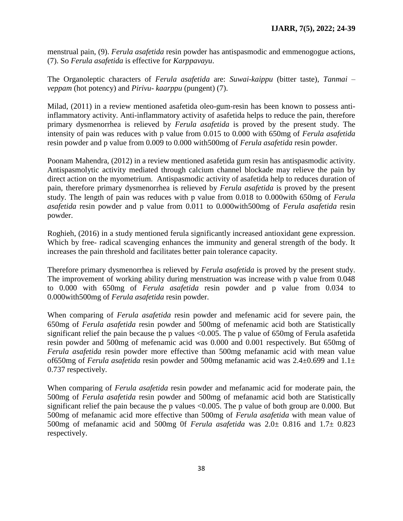menstrual pain, (9). *Ferula asafetida* resin powder has antispasmodic and emmenogogue actions, (7). So *Ferula asafetida* is effective for *Karppavayu*.

The Organoleptic characters of *Ferula asafetida* are: *Suwai-kaippu* (bitter taste), *Tanmai – veppam* (hot potency) and *Pirivu- kaarppu* (pungent) (7).

Milad, (2011) in a review mentioned asafetida oleo-gum-resin has been known to possess antiinflammatory activity. Anti-inflammatory activity of asafetida helps to reduce the pain, therefore primary dysmenorrhea is relieved by *Ferula asafetida* is proved by the present study. The intensity of pain was reduces with p value from 0.015 to 0.000 with 650mg of *Ferula asafetida* resin powder and p value from 0.009 to 0.000 with500mg of *Ferula asafetida* resin powder.

Poonam Mahendra, (2012) in a review mentioned asafetida gum resin has antispasmodic activity. Antispasmolytic activity mediated through calcium channel blockade may relieve the pain by direct action on the myometrium. Antispasmodic activity of asafetida help to reduces duration of pain, therefore primary dysmenorrhea is relieved by *Ferula asafetida* is proved by the present study. The length of pain was reduces with p value from 0.018 to 0.000with 650mg of *Ferula asafetida* resin powder and p value from 0.011 to 0.000with500mg of *Ferula asafetida* resin powder.

Roghieh, (2016) in a study mentioned ferula significantly increased antioxidant gene expression. Which by free- radical scavenging enhances the immunity and general strength of the body. It increases the pain threshold and facilitates better pain tolerance capacity.

Therefore primary dysmenorrhea is relieved by *Ferula asafetida* is proved by the present study. The improvement of working ability during menstruation was increase with p value from 0.048 to 0.000 with 650mg of *Ferula asafetida* resin powder and p value from 0.034 to 0.000with500mg of *Ferula asafetida* resin powder.

When comparing of *Ferula asafetida* resin powder and mefenamic acid for severe pain, the 650mg of *Ferula asafetida* resin powder and 500mg of mefenamic acid both are Statistically significant relief the pain because the p values <0.005. The p value of 650mg of Ferula asafetida resin powder and 500mg of mefenamic acid was 0.000 and 0.001 respectively. But 650mg of *Ferula asafetida* resin powder more effective than 500mg mefanamic acid with mean value of650mg of *Ferula asafetida* resin powder and 500mg mefanamic acid was 2.4±0.699 and 1.1± 0.737 respectively.

When comparing of *Ferula asafetida* resin powder and mefanamic acid for moderate pain, the 500mg of *Ferula asafetida* resin powder and 500mg of mefanamic acid both are Statistically significant relief the pain because the p values <0.005. The p value of both group are 0.000. But 500mg of mefanamic acid more effective than 500mg of *Ferula asafetida* with mean value of 500mg of mefanamic acid and 500mg 0f *Ferula asafetida* was 2.0± 0.816 and 1.7± 0.823 respectively.